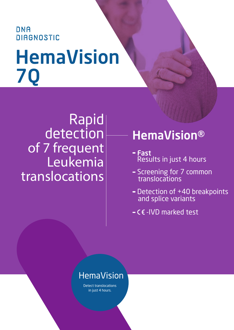# **DNA DIAGNOSTIC** HemaVision 7Q

## Rapid detection of 7 frequent Leukemia translocations

## HemaVision®

- Fast Results in just 4 hours
- Screening for 7 common translocations
- Detection of +40 breakpoints and splice variants
- $-CE$ -IVD marked test

### HemaVision

Detect translocations in just 4 hours.